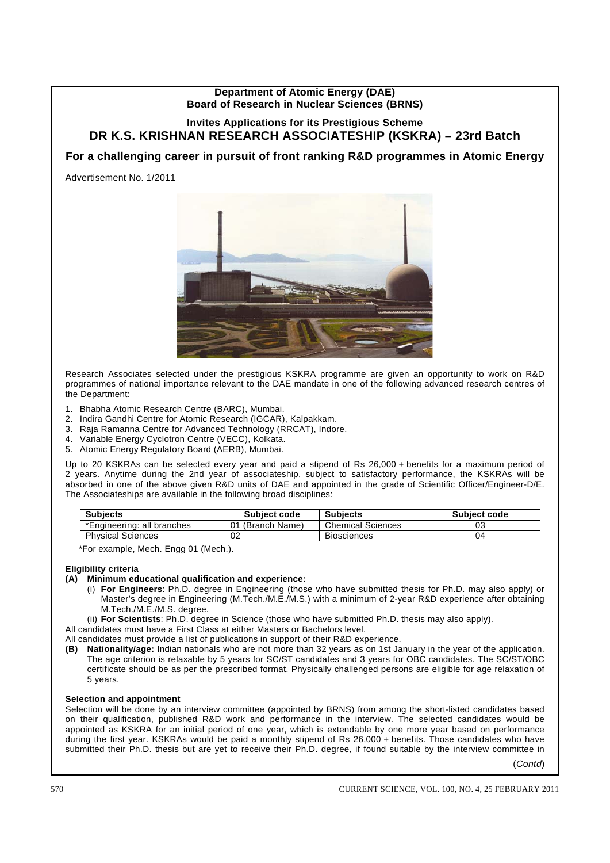## **Department of Atomic Energy (DAE) Board of Research in Nuclear Sciences (BRNS)**

# **Invites Applications for its Prestigious Scheme DR K.S. KRISHNAN RESEARCH ASSOCIATESHIP (KSKRA) – 23rd Batch**

# **For a challenging career in pursuit of front ranking R&D programmes in Atomic Energy**

Advertisement No. 1/2011



Research Associates selected under the prestigious KSKRA programme are given an opportunity to work on R&D programmes of national importance relevant to the DAE mandate in one of the following advanced research centres of the Department:

- 1. Bhabha Atomic Research Centre (BARC), Mumbai.
- 2. Indira Gandhi Centre for Atomic Research (IGCAR), Kalpakkam.
- 3. Raja Ramanna Centre for Advanced Technology (RRCAT), Indore.
- 4. Variable Energy Cyclotron Centre (VECC), Kolkata.
- 5. Atomic Energy Regulatory Board (AERB), Mumbai.

Up to 20 KSKRAs can be selected every year and paid a stipend of Rs 26,000 + benefits for a maximum period of 2 years. Anytime during the 2nd year of associateship, subject to satisfactory performance, the KSKRAs will be absorbed in one of the above given R&D units of DAE and appointed in the grade of Scientific Officer/Engineer-D/E. The Associateships are available in the following broad disciplines:

| <b>Subjects</b>            | Subject code     | <b>Subjects</b>          | <b>Subject code</b> |  |
|----------------------------|------------------|--------------------------|---------------------|--|
| *Engineering: all branches | 01 (Branch Name) | <b>Chemical Sciences</b> | 03                  |  |
| <b>Physical Sciences</b>   |                  | <b>Biosciences</b>       | 04                  |  |

\*For example, Mech. Engg 01 (Mech.).

#### **Eligibility criteria**

- **(A) Minimum educational qualification and experience:**
	- (i) **For Engineers**: Ph.D. degree in Engineering (those who have submitted thesis for Ph.D. may also apply) or Master's degree in Engineering (M.Tech./M.E./M.S.) with a minimum of 2-year R&D experience after obtaining M.Tech./M.E./M.S. degree.

(ii) **For Scientists**: Ph.D. degree in Science (those who have submitted Ph.D. thesis may also apply).

All candidates must have a First Class at either Masters or Bachelors level.

All candidates must provide a list of publications in support of their R&D experience.

**(B) Nationality/age:** Indian nationals who are not more than 32 years as on 1st January in the year of the application. The age criterion is relaxable by 5 years for SC/ST candidates and 3 years for OBC candidates. The SC/ST/OBC certificate should be as per the prescribed format. Physically challenged persons are eligible for age relaxation of 5 years.

## **Selection and appointment**

Selection will be done by an interview committee (appointed by BRNS) from among the short-listed candidates based on their qualification, published R&D work and performance in the interview. The selected candidates would be appointed as KSKRA for an initial period of one year, which is extendable by one more year based on performance during the first year. KSKRAs would be paid a monthly stipend of Rs 26,000 + benefits. Those candidates who have submitted their Ph.D. thesis but are yet to receive their Ph.D. degree, if found suitable by the interview committee in

(*Contd*)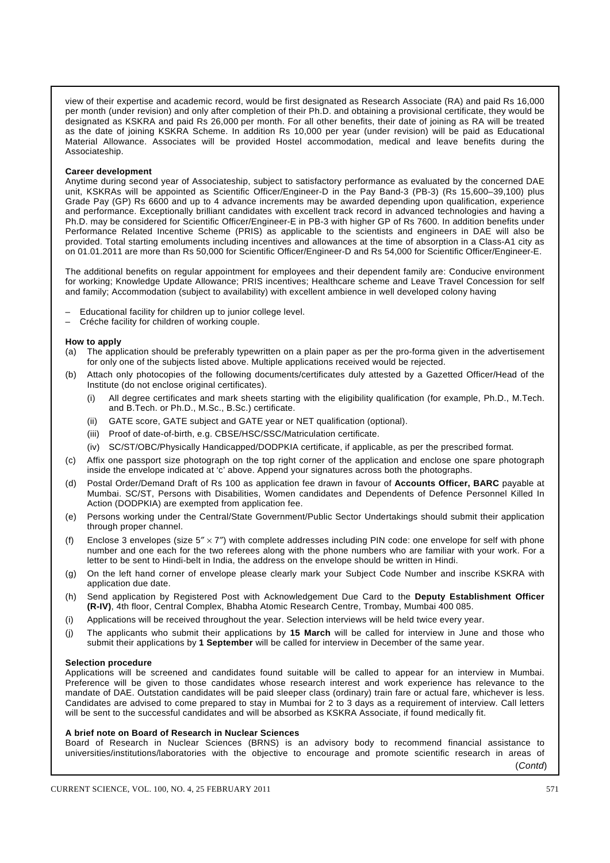view of their expertise and academic record, would be first designated as Research Associate (RA) and paid Rs 16,000 per month (under revision) and only after completion of their Ph.D. and obtaining a provisional certificate, they would be designated as KSKRA and paid Rs 26,000 per month. For all other benefits, their date of joining as RA will be treated as the date of joining KSKRA Scheme. In addition Rs 10,000 per year (under revision) will be paid as Educational Material Allowance. Associates will be provided Hostel accommodation, medical and leave benefits during the Associateship.

#### **Career development**

Anytime during second year of Associateship, subject to satisfactory performance as evaluated by the concerned DAE unit, KSKRAs will be appointed as Scientific Officer/Engineer-D in the Pay Band-3 (PB-3) (Rs 15,600–39,100) plus Grade Pay (GP) Rs 6600 and up to 4 advance increments may be awarded depending upon qualification, experience and performance. Exceptionally brilliant candidates with excellent track record in advanced technologies and having a Ph.D. may be considered for Scientific Officer/Engineer-E in PB-3 with higher GP of Rs 7600. In addition benefits under Performance Related Incentive Scheme (PRIS) as applicable to the scientists and engineers in DAE will also be provided. Total starting emoluments including incentives and allowances at the time of absorption in a Class-A1 city as on 01.01.2011 are more than Rs 50,000 for Scientific Officer/Engineer-D and Rs 54,000 for Scientific Officer/Engineer-E.

The additional benefits on regular appointment for employees and their dependent family are: Conducive environment for working; Knowledge Update Allowance; PRIS incentives; Healthcare scheme and Leave Travel Concession for self and family; Accommodation (subject to availability) with excellent ambience in well developed colony having

- Educational facility for children up to junior college level.
- Créche facility for children of working couple.

#### **How to apply**

- (a) The application should be preferably typewritten on a plain paper as per the pro-forma given in the advertisement for only one of the subjects listed above. Multiple applications received would be rejected.
- (b) Attach only photocopies of the following documents/certificates duly attested by a Gazetted Officer/Head of the Institute (do not enclose original certificates).
	- (i) All degree certificates and mark sheets starting with the eligibility qualification (for example, Ph.D., M.Tech. and B.Tech. or Ph.D., M.Sc., B.Sc.) certificate.
	- (ii) GATE score, GATE subject and GATE year or NET qualification (optional).
	- (iii) Proof of date-of-birth, e.g. CBSE/HSC/SSC/Matriculation certificate.
	- (iv) SC/ST/OBC/Physically Handicapped/DODPKIA certificate, if applicable, as per the prescribed format.
- (c) Affix one passport size photograph on the top right corner of the application and enclose one spare photograph inside the envelope indicated at 'c' above. Append your signatures across both the photographs.
- (d) Postal Order/Demand Draft of Rs 100 as application fee drawn in favour of **Accounts Officer, BARC** payable at Mumbai. SC/ST, Persons with Disabilities, Women candidates and Dependents of Defence Personnel Killed In Action (DODPKIA) are exempted from application fee.
- (e) Persons working under the Central/State Government/Public Sector Undertakings should submit their application through proper channel.
- (f) Enclose 3 envelopes (size  $5'' \times 7''$ ) with complete addresses including PIN code: one envelope for self with phone number and one each for the two referees along with the phone numbers who are familiar with your work. For a letter to be sent to Hindi-belt in India, the address on the envelope should be written in Hindi.
- (g) On the left hand corner of envelope please clearly mark your Subject Code Number and inscribe KSKRA with application due date.
- (h) Send application by Registered Post with Acknowledgement Due Card to the **Deputy Establishment Officer (R-IV)**, 4th floor, Central Complex, Bhabha Atomic Research Centre, Trombay, Mumbai 400 085.
- (i) Applications will be received throughout the year. Selection interviews will be held twice every year.
- (j) The applicants who submit their applications by **15 March** will be called for interview in June and those who submit their applications by **1 September** will be called for interview in December of the same year.

#### **Selection procedure**

Applications will be screened and candidates found suitable will be called to appear for an interview in Mumbai. Preference will be given to those candidates whose research interest and work experience has relevance to the mandate of DAE. Outstation candidates will be paid sleeper class (ordinary) train fare or actual fare, whichever is less. Candidates are advised to come prepared to stay in Mumbai for 2 to 3 days as a requirement of interview. Call letters will be sent to the successful candidates and will be absorbed as KSKRA Associate, if found medically fit.

#### **A brief note on Board of Research in Nuclear Sciences**

Board of Research in Nuclear Sciences (BRNS) is an advisory body to recommend financial assistance to universities/institutions/laboratories with the objective to encourage and promote scientific research in areas of

(*Contd*)